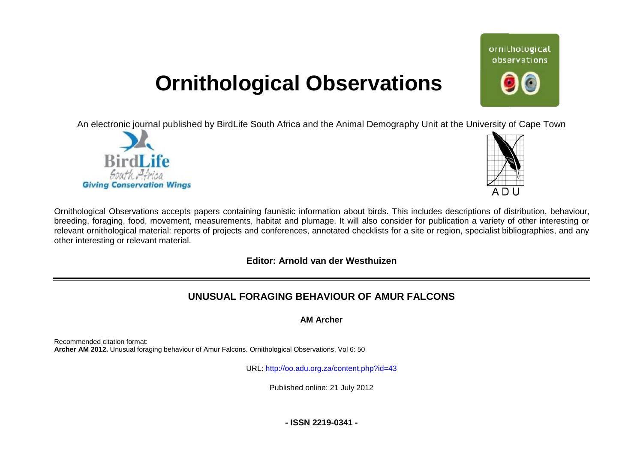## **Ornithological Observations**

An electronic journal published by BirdLife South Africa and the Animal Demography Unit at the University of Cape Town





ornithological observations

Ornithological Observations accepts papers containing faunistic information about birds. This includes descriptions of distribution, behaviour, breeding, foraging, food, movement, measurements, habitat and plumage. It will also consider for publication a variety of other interesting or relevant ornithological material: reports of projects and conferences, annotated checklists for a site or region, specialist bibliographies, and any other interesting or relevant material.

**Editor: Arnold van der Westhuizen**

## **UNUSUAL FORAGING BEH BEHAVIOUR OF AMUR FALCONS**

**AM Archer** 

Recommended citation format: **Archer AM 2012.** Unusual foraging behaviour of Amur Falcons. Ornithological Observations, Vol 6: 50

URL: <http://oo.adu.org.za/content.php?id=43>

Published online: 21 July 2012

**- ISSN 2219-0341 -**